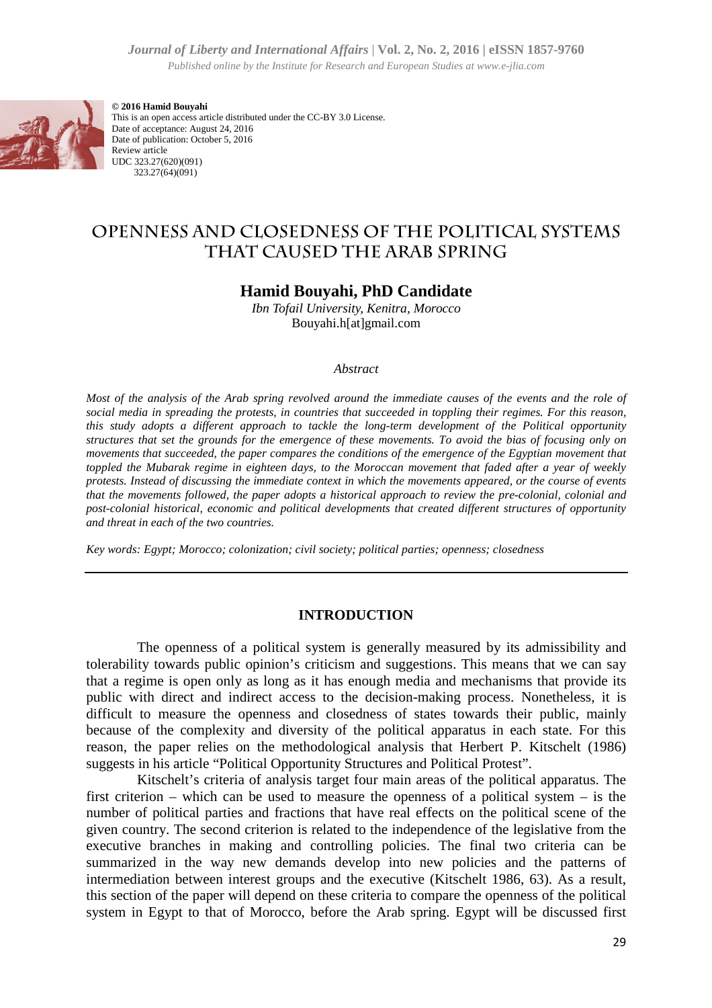*Journal of Liberty and International Affairs* | **Vol. 2, No. 2, 2016 | eISSN**  Published online by the Institute for Research and European Studies at www.e-jlia.com



**© 2016 Hamid Bouyahi** This is an open access article distributed under the CC-BY 3.0 License. Date of acceptance: August 24, 2016 Date of publication: October 5, 2016 Review article UDC 323.27(620)(091) 323.27(64)(091)

# **OPENNESS AND CLOSEDNESS OF THE POLITICAL SYSTEMS THAT CAUSED THE ARAB SPRING**

## **Hamid Bouyahi, PhD Candidate**

*Ibn Tofail University, Kenitra, Morocco* Bouyahi.h[at]gmail.com

#### *Abstract*

*Most of the analysis of the Arab spring revolved around the immediate causes of the events and the role of social media in spreading the protests, in countries that succeeded in toppling their regimes. For this reason,*  this study adopts a different approach to tackle the long-term development of the Political opportunity *structures that set the grounds for the emergence of these movements. To avoid the bias of focusing only on*  movements that succeeded, the paper compares the conditions of the emergence of the Egyptian movement that *toppled the Mubarak regime in eighteen days, to the Moroccan movement that faded after a year of weekly protests. Instead of discussing the immediate context in which the movements appeared, or the course of events*  that the movements followed, the paper adopts a historical approach to review the pre*post-colonial historical, economic and political developments that created different structures of opportunity and threat in each of the two countries.*  of Liberty and International Affinity [Vol. 2, No. 2, 2016] (ESSN 1857-9760<br>
political tical title relations for *Research* and *Farmous Rodies a verse siliacom*<br> **Eventual tical tical tical tical tical tical tical tical t** *term development of the Political opportunity*<br>*vements. To avoid the bias of focusing only on*<br>*of the emergence of the Egyptian movement that*<br>*tan movement that faded after a year of weekly*<br>*the movements appeared, or* 

*Key words: Egypt; Morocco; colonization; civil society; political parties; openness; closedness*

#### **INTRODUCTION**

The openness of a political system is generally measured by its admissibility and tolerability towards public opinion's criticism and suggestions. This means that we can say that a regime is open only as long as it has enough media and mechanisms that provide its public with direct and indirect access to the decision-making process. Nonetheless, it is difficult to measure the openness and closedness of states towards their public, mainly because of the complexity and diversity of the political apparatus in each state. For this reason, the paper relies on the methodological analysis that Herbert P. Kitschelt (1986) suggests in his article "Political Opportunity Structures and Political Protest". making process. No<br>tates towards their<br>al apparatus in each<br>s that Herbert P. K<br>ad Political Protest".

Kitschelt's criteria of analysis target four main areas of the political apparatus. The first criterion – which can be used to measure the openness of a political system – is the number of political parties and fractions that have real effects on the political scene of the given country. The second criterion is related to the independence of the legislative from the executive branches in making and controlling policies. The final two criteria can be summarized in the way new demands develop into new policies and the patterns of intermediation between interest groups and the executive (Kitschelt 1986, 63). 63). As a result, this section of the paper will depend on these criteria to compare the openness of the political system in Egypt to that of Morocco, before the Arab spring. Egypt will be discussed first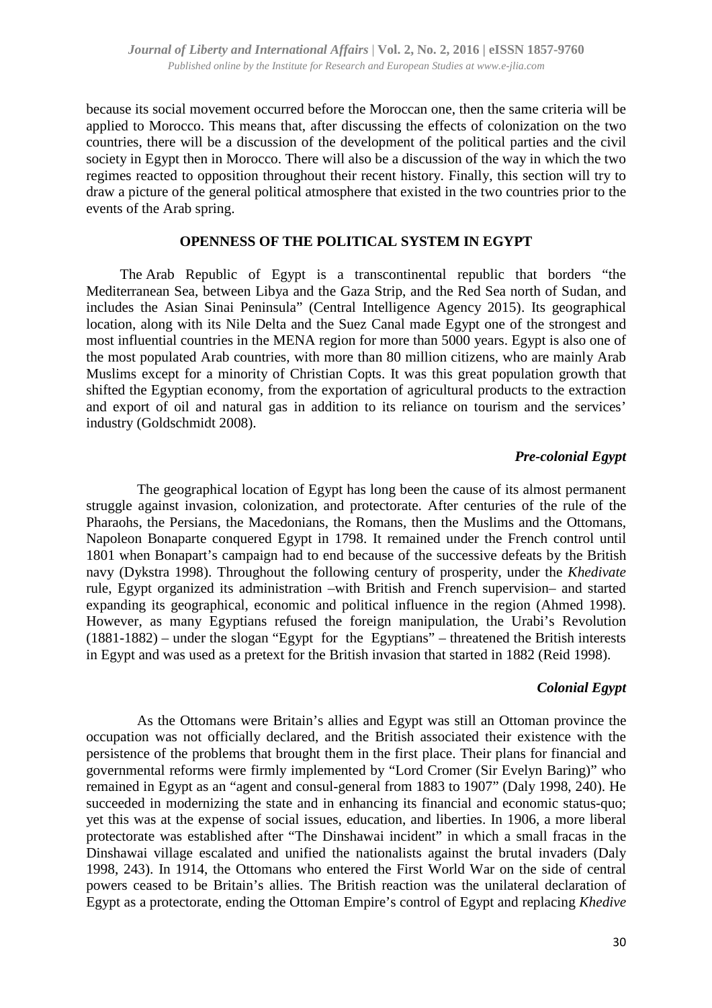because its social movement occurred before the Moroccan one, then the same criteria will be applied to Morocco. This means that, after discussing the effects of colonization on the two countries, there will be a discussion of the development of the political parties and the civil society in Egypt then in Morocco. There will also be a discussion of the way in which the two regimes reacted to opposition throughout their recent history. Finally, this section will try to draw a picture of the general political atmosphere that existed in the two countries prior to the events of the Arab spring.

#### **OPENNESS OF THE POLITICAL SYSTEM IN EGYPT**

The Arab Republic of Egypt is a transcontinental republic that borders "the Mediterranean Sea, between Libya and the Gaza Strip, and the Red Sea north of Sudan, and includes the Asian Sinai Peninsula" (Central Intelligence Agency 2015). Its geographical location, along with its Nile Delta and the Suez Canal made Egypt one of the strongest and most influential countries in the MENA region for more than 5000 years. Egypt is also one of the most populated Arab countries, with more than 80 million citizens, who are mainly Arab Muslims except for a minority of Christian Copts. It was this great population growth that shifted the Egyptian economy, from the exportation of agricultural products to the extraction and export of oil and natural gas in addition to its reliance on tourism and the services' industry (Goldschmidt 2008).

#### *Pre-colonial Egypt*

The geographical location of Egypt has long been the cause of its almost permanent struggle against invasion, colonization, and protectorate. After centuries of the rule of the Pharaohs, the Persians, the Macedonians, the Romans, then the Muslims and the Ottomans, Napoleon Bonaparte conquered Egypt in 1798. It remained under the French control until 1801 when Bonapart's campaign had to end because of the successive defeats by the British navy (Dykstra 1998). Throughout the following century of prosperity, under the *Khedivate* rule, Egypt organized its administration –with British and French supervision– and started expanding its geographical, economic and political influence in the region (Ahmed 1998). However, as many Egyptians refused the foreign manipulation, the Urabi's Revolution (1881-1882) – under the slogan "Egypt for the Egyptians" – threatened the British interests in Egypt and was used as a pretext for the British invasion that started in 1882 (Reid 1998).

### *Colonial Egypt*

As the Ottomans were Britain's allies and Egypt was still an Ottoman province the occupation was not officially declared, and the British associated their existence with the persistence of the problems that brought them in the first place. Their plans for financial and governmental reforms were firmly implemented by "Lord Cromer (Sir Evelyn Baring)" who remained in Egypt as an "agent and consul-general from 1883 to 1907" (Daly 1998, 240). He succeeded in modernizing the state and in enhancing its financial and economic status-quo; yet this was at the expense of social issues, education, and liberties. In 1906, a more liberal protectorate was established after "The Dinshawai incident" in which a small fracas in the Dinshawai village escalated and unified the nationalists against the brutal invaders (Daly 1998, 243). In 1914, the Ottomans who entered the First World War on the side of central powers ceased to be Britain's allies. The British reaction was the unilateral declaration of Egypt as a protectorate, ending the Ottoman Empire's control of Egypt and replacing *Khedive*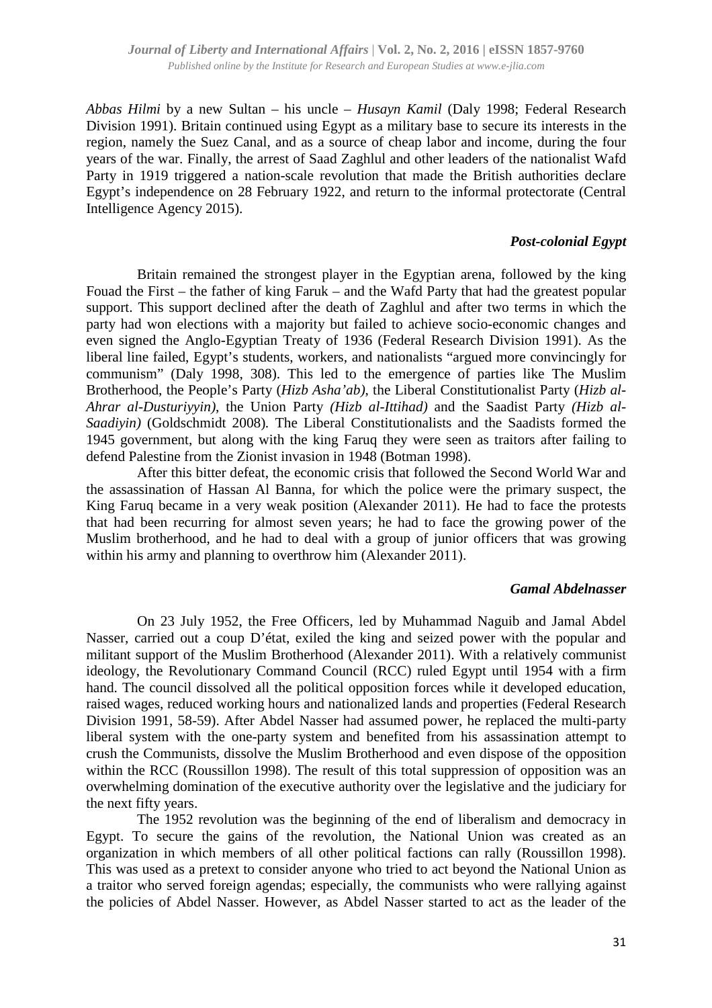*Abbas Hilmi* by a new Sultan – his uncle – *Husayn Kamil* (Daly 1998; Federal Research Division 1991). Britain continued using Egypt as a military base to secure its interests in the region, namely the Suez Canal, and as a source of cheap labor and income, during the four years of the war. Finally, the arrest of Saad Zaghlul and other leaders of the nationalist Wafd Party in 1919 triggered a nation-scale revolution that made the British authorities declare Egypt's independence on 28 February 1922, and return to the informal protectorate (Central Intelligence Agency 2015).

#### *Post-colonial Egypt*

Britain remained the strongest player in the Egyptian arena, followed by the king Fouad the First – the father of king Faruk – and the Wafd Party that had the greatest popular support. This support declined after the death of Zaghlul and after two terms in which the party had won elections with a majority but failed to achieve socio-economic changes and even signed the Anglo-Egyptian Treaty of 1936 (Federal Research Division 1991). As the liberal line failed, Egypt's students, workers, and nationalists "argued more convincingly for communism" (Daly 1998, 308). This led to the emergence of parties like The Muslim Brotherhood, the People's Party (*Hizb Asha'ab)*, the Liberal Constitutionalist Party (*Hizb al-Ahrar al-Dusturiyyin)*, the Union Party *(Hizb al-Ittihad)* and the Saadist Party *(Hizb al-Saadiyin)* (Goldschmidt 2008)*.* The Liberal Constitutionalists and the Saadists formed the 1945 government, but along with the king Faruq they were seen as traitors after failing to defend Palestine from the Zionist invasion in 1948 (Botman 1998).

After this bitter defeat, the economic crisis that followed the Second World War and the assassination of Hassan Al Banna, for which the police were the primary suspect, the King Faruq became in a very weak position (Alexander 2011). He had to face the protests that had been recurring for almost seven years; he had to face the growing power of the Muslim brotherhood, and he had to deal with a group of junior officers that was growing within his army and planning to overthrow him (Alexander 2011).

#### *Gamal Abdelnasser*

On 23 July 1952, the Free Officers, led by Muhammad Naguib and Jamal Abdel Nasser, carried out a coup D'état, exiled the king and seized power with the popular and militant support of the Muslim Brotherhood (Alexander 2011). With a relatively communist ideology, the Revolutionary Command Council (RCC) ruled Egypt until 1954 with a firm hand. The council dissolved all the political opposition forces while it developed education, raised wages, reduced working hours and nationalized lands and properties (Federal Research Division 1991, 58-59). After Abdel Nasser had assumed power, he replaced the multi-party liberal system with the one-party system and benefited from his assassination attempt to crush the Communists, dissolve the Muslim Brotherhood and even dispose of the opposition within the RCC (Roussillon 1998). The result of this total suppression of opposition was an overwhelming domination of the executive authority over the legislative and the judiciary for the next fifty years.

The 1952 revolution was the beginning of the end of liberalism and democracy in Egypt. To secure the gains of the revolution, the National Union was created as an organization in which members of all other political factions can rally (Roussillon 1998). This was used as a pretext to consider anyone who tried to act beyond the National Union as a traitor who served foreign agendas; especially, the communists who were rallying against the policies of Abdel Nasser. However, as Abdel Nasser started to act as the leader of the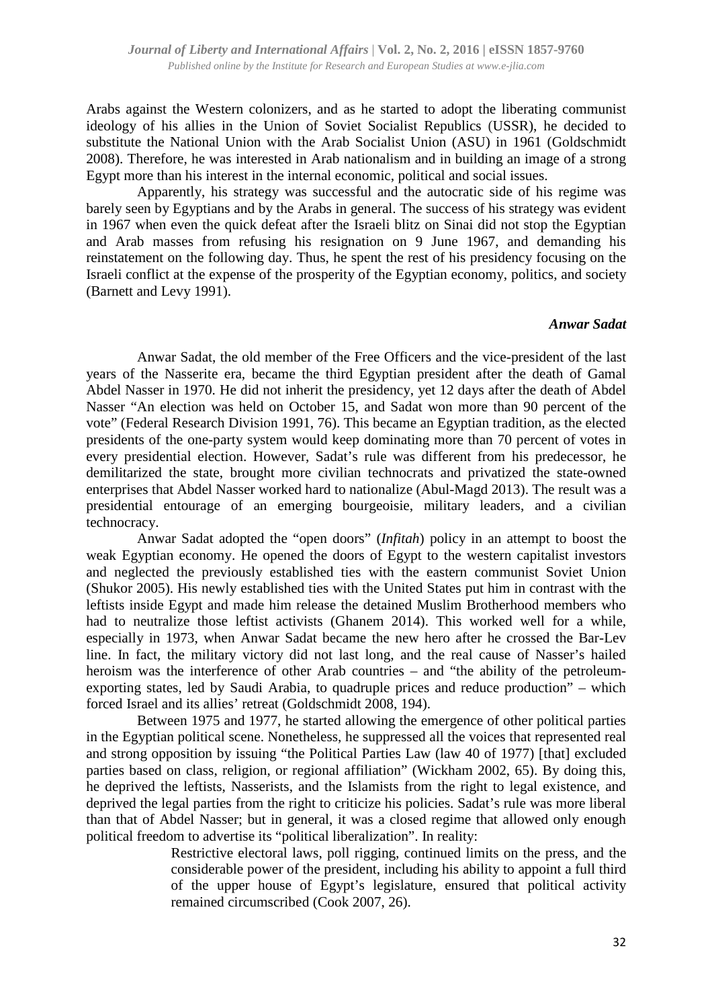Arabs against the Western colonizers, and as he started to adopt the liberating communist ideology of his allies in the Union of Soviet Socialist Republics (USSR), he decided to substitute the National Union with the Arab Socialist Union (ASU) in 1961 (Goldschmidt 2008). Therefore, he was interested in Arab nationalism and in building an image of a strong Egypt more than his interest in the internal economic, political and social issues.

Apparently, his strategy was successful and the autocratic side of his regime was barely seen by Egyptians and by the Arabs in general. The success of his strategy was evident in 1967 when even the quick defeat after the Israeli blitz on Sinai did not stop the Egyptian and Arab masses from refusing his resignation on 9 June 1967, and demanding his reinstatement on the following day. Thus, he spent the rest of his presidency focusing on the Israeli conflict at the expense of the prosperity of the Egyptian economy, politics, and society (Barnett and Levy 1991).

#### *Anwar Sadat*

Anwar Sadat, the old member of the Free Officers and the vice-president of the last years of the Nasserite era, became the third Egyptian president after the death of Gamal Abdel Nasser in 1970. He did not inherit the presidency, yet 12 days after the death of Abdel Nasser "An election was held on October 15, and Sadat won more than 90 percent of the vote" (Federal Research Division 1991, 76). This became an Egyptian tradition, as the elected presidents of the one-party system would keep dominating more than 70 percent of votes in every presidential election. However, Sadat's rule was different from his predecessor, he demilitarized the state, brought more civilian technocrats and privatized the state-owned enterprises that Abdel Nasser worked hard to nationalize (Abul-Magd 2013). The result was a presidential entourage of an emerging bourgeoisie, military leaders, and a civilian technocracy.

Anwar Sadat adopted the "open doors" (*Infitah*) policy in an attempt to boost the weak Egyptian economy. He opened the doors of Egypt to the western capitalist investors and neglected the previously established ties with the eastern communist Soviet Union (Shukor 2005). His newly established ties with the United States put him in contrast with the leftists inside Egypt and made him release the detained Muslim Brotherhood members who had to neutralize those leftist activists (Ghanem 2014). This worked well for a while, especially in 1973, when Anwar Sadat became the new hero after he crossed the Bar-Lev line. In fact, the military victory did not last long, and the real cause of Nasser's hailed heroism was the interference of other Arab countries – and "the ability of the petroleumexporting states, led by Saudi Arabia, to quadruple prices and reduce production" – which forced Israel and its allies' retreat (Goldschmidt 2008, 194).

Between 1975 and 1977, he started allowing the emergence of other political parties in the Egyptian political scene. Nonetheless, he suppressed all the voices that represented real and strong opposition by issuing "the Political Parties Law (law 40 of 1977) [that] excluded parties based on class, religion, or regional affiliation" (Wickham 2002, 65). By doing this, he deprived the leftists, Nasserists, and the Islamists from the right to legal existence, and deprived the legal parties from the right to criticize his policies. Sadat's rule was more liberal than that of Abdel Nasser; but in general, it was a closed regime that allowed only enough political freedom to advertise its "political liberalization". In reality:

> Restrictive electoral laws, poll rigging, continued limits on the press, and the considerable power of the president, including his ability to appoint a full third of the upper house of Egypt's legislature, ensured that political activity remained circumscribed (Cook 2007, 26).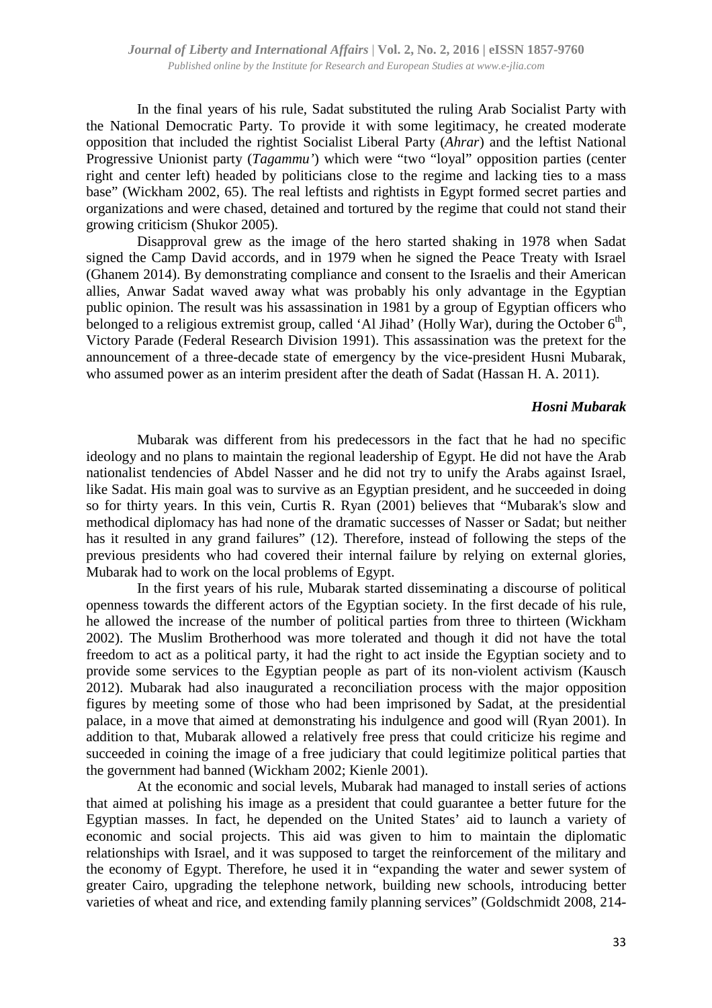In the final years of his rule, Sadat substituted the ruling Arab Socialist Party with the National Democratic Party. To provide it with some legitimacy, he created moderate opposition that included the rightist Socialist Liberal Party (*Ahrar*) and the leftist National Progressive Unionist party (*Tagammu'*) which were "two "loyal" opposition parties (center right and center left) headed by politicians close to the regime and lacking ties to a mass base" (Wickham 2002, 65). The real leftists and rightists in Egypt formed secret parties and organizations and were chased, detained and tortured by the regime that could not stand their growing criticism (Shukor 2005).

Disapproval grew as the image of the hero started shaking in 1978 when Sadat signed the Camp David accords, and in 1979 when he signed the Peace Treaty with Israel (Ghanem 2014). By demonstrating compliance and consent to the Israelis and their American allies, Anwar Sadat waved away what was probably his only advantage in the Egyptian public opinion. The result was his assassination in 1981 by a group of Egyptian officers who belonged to a religious extremist group, called 'Al Jihad' (Holly War), during the October  $6<sup>th</sup>$ , Victory Parade (Federal Research Division 1991). This assassination was the pretext for the announcement of a three-decade state of emergency by the vice-president Husni Mubarak, who assumed power as an interim president after the death of Sadat (Hassan H. A. 2011).

#### *Hosni Mubarak*

Mubarak was different from his predecessors in the fact that he had no specific ideology and no plans to maintain the regional leadership of Egypt. He did not have the Arab nationalist tendencies of Abdel Nasser and he did not try to unify the Arabs against Israel, like Sadat. His main goal was to survive as an Egyptian president, and he succeeded in doing so for thirty years. In this vein, Curtis R. Ryan (2001) believes that "Mubarak's slow and methodical diplomacy has had none of the dramatic successes of Nasser or Sadat; but neither has it resulted in any grand failures" (12). Therefore, instead of following the steps of the previous presidents who had covered their internal failure by relying on external glories, Mubarak had to work on the local problems of Egypt.

In the first years of his rule, Mubarak started disseminating a discourse of political openness towards the different actors of the Egyptian society. In the first decade of his rule, he allowed the increase of the number of political parties from three to thirteen (Wickham 2002). The Muslim Brotherhood was more tolerated and though it did not have the total freedom to act as a political party, it had the right to act inside the Egyptian society and to provide some services to the Egyptian people as part of its non-violent activism (Kausch 2012). Mubarak had also inaugurated a reconciliation process with the major opposition figures by meeting some of those who had been imprisoned by Sadat, at the presidential palace, in a move that aimed at demonstrating his indulgence and good will (Ryan 2001). In addition to that, Mubarak allowed a relatively free press that could criticize his regime and succeeded in coining the image of a free judiciary that could legitimize political parties that the government had banned (Wickham 2002; Kienle 2001).

At the economic and social levels, Mubarak had managed to install series of actions that aimed at polishing his image as a president that could guarantee a better future for the Egyptian masses. In fact, he depended on the United States' aid to launch a variety of economic and social projects. This aid was given to him to maintain the diplomatic relationships with Israel, and it was supposed to target the reinforcement of the military and the economy of Egypt. Therefore, he used it in "expanding the water and sewer system of greater Cairo, upgrading the telephone network, building new schools, introducing better varieties of wheat and rice, and extending family planning services" (Goldschmidt 2008, 214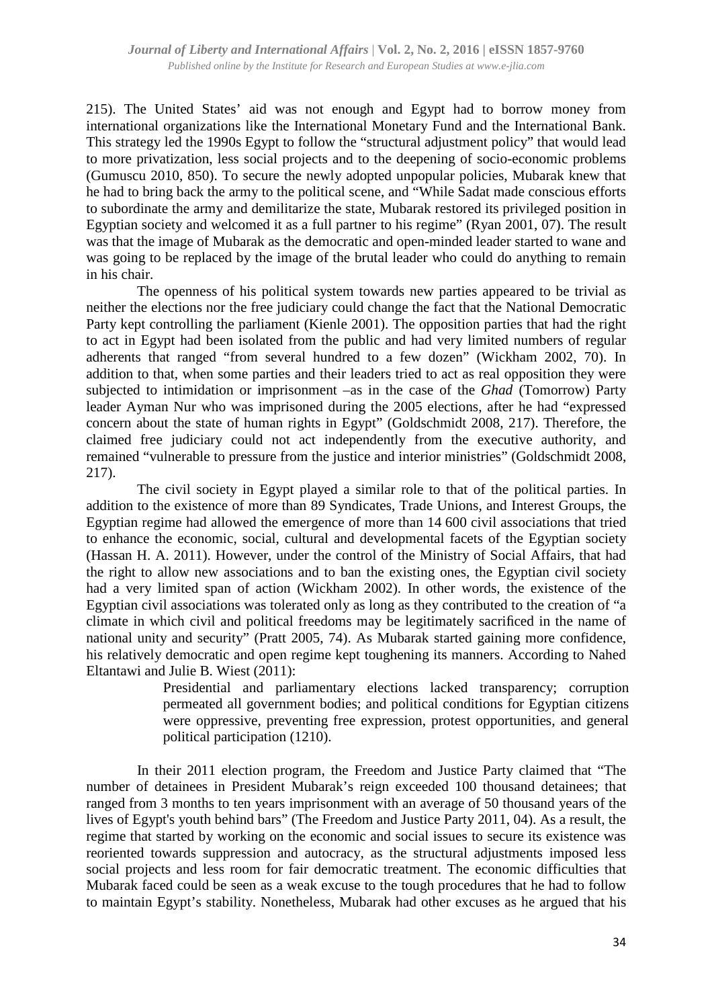215). The United States' aid was not enough and Egypt had to borrow money from international organizations like the International Monetary Fund and the International Bank. This strategy led the 1990s Egypt to follow the "structural adjustment policy" that would lead to more privatization, less social projects and to the deepening of socio-economic problems (Gumuscu 2010, 850). To secure the newly adopted unpopular policies, Mubarak knew that he had to bring back the army to the political scene, and "While Sadat made conscious efforts to subordinate the army and demilitarize the state, Mubarak restored its privileged position in Egyptian society and welcomed it as a full partner to his regime" (Ryan 2001, 07). The result was that the image of Mubarak as the democratic and open-minded leader started to wane and was going to be replaced by the image of the brutal leader who could do anything to remain in his chair.

The openness of his political system towards new parties appeared to be trivial as neither the elections nor the free judiciary could change the fact that the National Democratic Party kept controlling the parliament (Kienle 2001). The opposition parties that had the right to act in Egypt had been isolated from the public and had very limited numbers of regular adherents that ranged "from several hundred to a few dozen" (Wickham 2002, 70). In addition to that, when some parties and their leaders tried to act as real opposition they were subjected to intimidation or imprisonment –as in the case of the *Ghad* (Tomorrow) Party leader Ayman Nur who was imprisoned during the 2005 elections, after he had "expressed concern about the state of human rights in Egypt" (Goldschmidt 2008, 217). Therefore, the claimed free judiciary could not act independently from the executive authority, and remained "vulnerable to pressure from the justice and interior ministries" (Goldschmidt 2008, 217).

The civil society in Egypt played a similar role to that of the political parties. In addition to the existence of more than 89 Syndicates, Trade Unions, and Interest Groups, the Egyptian regime had allowed the emergence of more than 14 600 civil associations that tried to enhance the economic, social, cultural and developmental facets of the Egyptian society (Hassan H. A. 2011). However, under the control of the Ministry of Social Affairs, that had the right to allow new associations and to ban the existing ones, the Egyptian civil society had a very limited span of action (Wickham 2002). In other words, the existence of the Egyptian civil associations was tolerated only as long as they contributed to the creation of "a climate in which civil and political freedoms may be legitimately sacrificed in the name of national unity and security" (Pratt 2005, 74). As Mubarak started gaining more confidence, his relatively democratic and open regime kept toughening its manners. According to Nahed Eltantawi and Julie B. Wiest (2011):

> Presidential and parliamentary elections lacked transparency; corruption permeated all government bodies; and political conditions for Egyptian citizens were oppressive, preventing free expression, protest opportunities, and general political participation (1210).

In their 2011 election program, the Freedom and Justice Party claimed that "The number of detainees in President Mubarak's reign exceeded 100 thousand detainees; that ranged from 3 months to ten years imprisonment with an average of 50 thousand years of the lives of Egypt's youth behind bars" (The Freedom and Justice Party 2011, 04). As a result, the regime that started by working on the economic and social issues to secure its existence was reoriented towards suppression and autocracy, as the structural adjustments imposed less social projects and less room for fair democratic treatment. The economic difficulties that Mubarak faced could be seen as a weak excuse to the tough procedures that he had to follow to maintain Egypt's stability. Nonetheless, Mubarak had other excuses as he argued that his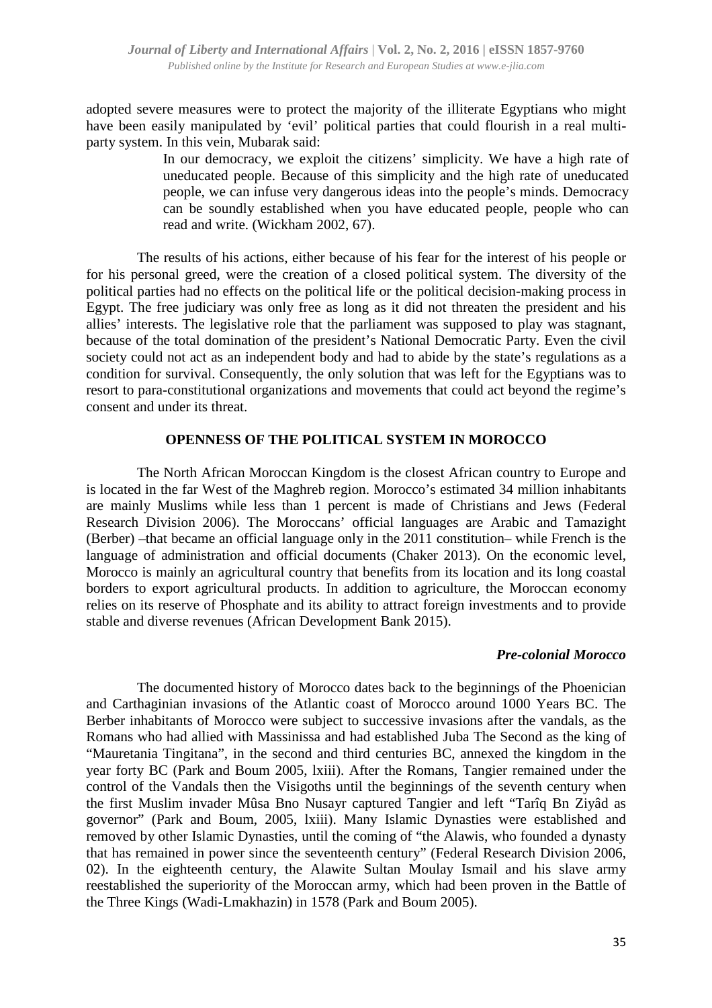adopted severe measures were to protect the majority of the illiterate Egyptians who might have been easily manipulated by 'evil' political parties that could flourish in a real multiparty system. In this vein, Mubarak said:

> In our democracy, we exploit the citizens' simplicity. We have a high rate of uneducated people. Because of this simplicity and the high rate of uneducated people, we can infuse very dangerous ideas into the people's minds. Democracy can be soundly established when you have educated people, people who can read and write. (Wickham 2002, 67).

The results of his actions, either because of his fear for the interest of his people or for his personal greed, were the creation of a closed political system. The diversity of the political parties had no effects on the political life or the political decision-making process in Egypt. The free judiciary was only free as long as it did not threaten the president and his allies' interests. The legislative role that the parliament was supposed to play was stagnant, because of the total domination of the president's National Democratic Party. Even the civil society could not act as an independent body and had to abide by the state's regulations as a condition for survival. Consequently, the only solution that was left for the Egyptians was to resort to para-constitutional organizations and movements that could act beyond the regime's consent and under its threat.

#### **OPENNESS OF THE POLITICAL SYSTEM IN MOROCCO**

The North African Moroccan Kingdom is the closest African country to Europe and is located in the far West of the Maghreb region. Morocco's estimated 34 million inhabitants are mainly Muslims while less than 1 percent is made of Christians and Jews (Federal Research Division 2006). The Moroccans' official languages are Arabic and Tamazight (Berber) –that became an official language only in the 2011 constitution– while French is the language of administration and official documents (Chaker 2013). On the economic level, Morocco is mainly an agricultural country that benefits from its location and its long coastal borders to export agricultural products. In addition to agriculture, the Moroccan economy relies on its reserve of Phosphate and its ability to attract foreign investments and to provide stable and diverse revenues (African Development Bank 2015).

#### *Pre-colonial Morocco*

The documented history of Morocco dates back to the beginnings of the Phoenician and Carthaginian invasions of the Atlantic coast of Morocco around 1000 Years BC. The Berber inhabitants of Morocco were subject to successive invasions after the vandals, as the Romans who had allied with Massinissa and had established Juba The Second as the king of "Mauretania Tingitana", in the second and third centuries BC, annexed the kingdom in the year forty BC (Park and Boum 2005, lxiii). After the Romans, Tangier remained under the control of the Vandals then the Visigoths until the beginnings of the seventh century when the first Muslim invader Mûsa Bno Nusayr captured Tangier and left "Tarîq Bn Ziyâd as governor" (Park and Boum, 2005, lxiii). Many Islamic Dynasties were established and removed by other Islamic Dynasties, until the coming of "the Alawis, who founded a dynasty that has remained in power since the seventeenth century" (Federal Research Division 2006, 02). In the eighteenth century, the Alawite Sultan Moulay Ismail and his slave army reestablished the superiority of the Moroccan army, which had been proven in the Battle of the Three Kings (Wadi-Lmakhazin) in 1578 (Park and Boum 2005).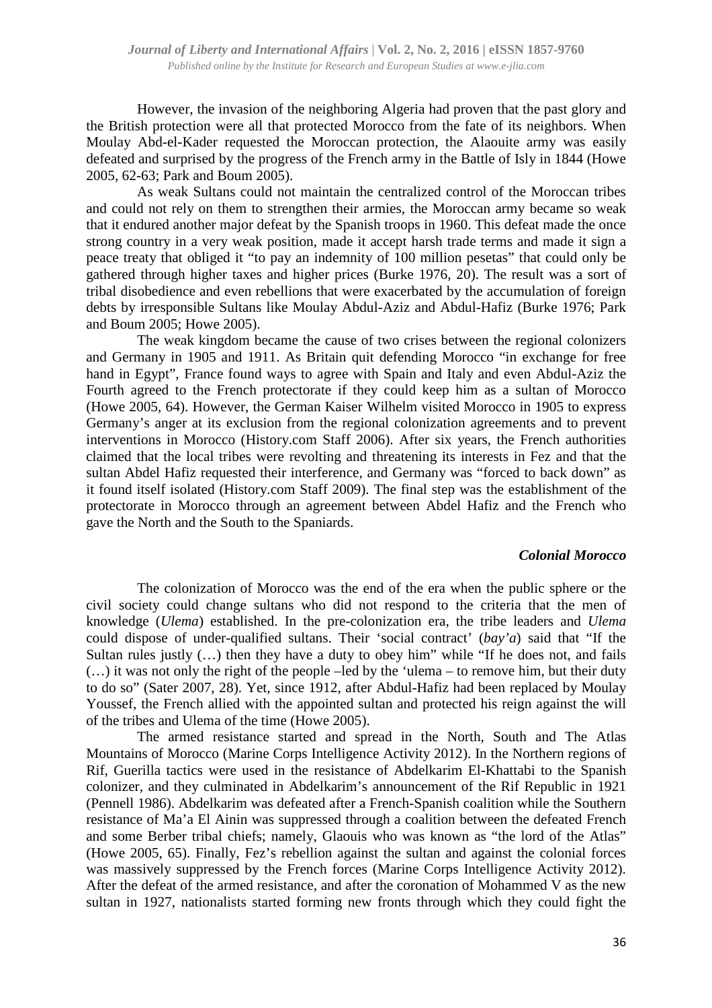However, the invasion of the neighboring Algeria had proven that the past glory and the British protection were all that protected Morocco from the fate of its neighbors. When Moulay Abd-el-Kader requested the Moroccan protection, the Alaouite army was easily defeated and surprised by the progress of the French army in the Battle of Isly in 1844 (Howe 2005, 62-63; Park and Boum 2005).

As weak Sultans could not maintain the centralized control of the Moroccan tribes and could not rely on them to strengthen their armies, the Moroccan army became so weak that it endured another major defeat by the Spanish troops in 1960. This defeat made the once strong country in a very weak position, made it accept harsh trade terms and made it sign a peace treaty that obliged it "to pay an indemnity of 100 million pesetas" that could only be gathered through higher taxes and higher prices (Burke 1976, 20). The result was a sort of tribal disobedience and even rebellions that were exacerbated by the accumulation of foreign debts by irresponsible Sultans like Moulay Abdul-Aziz and Abdul-Hafiz (Burke 1976; Park and Boum 2005; Howe 2005).

The weak kingdom became the cause of two crises between the regional colonizers and Germany in 1905 and 1911. As Britain quit defending Morocco "in exchange for free hand in Egypt", France found ways to agree with Spain and Italy and even Abdul-Aziz the Fourth agreed to the French protectorate if they could keep him as a sultan of Morocco (Howe 2005, 64). However, the German Kaiser Wilhelm visited Morocco in 1905 to express Germany's anger at its exclusion from the regional colonization agreements and to prevent interventions in Morocco (History.com Staff 2006). After six years, the French authorities claimed that the local tribes were revolting and threatening its interests in Fez and that the sultan Abdel Hafiz requested their interference, and Germany was "forced to back down" as it found itself isolated (History.com Staff 2009). The final step was the establishment of the protectorate in Morocco through an agreement between Abdel Hafiz and the French who gave the North and the South to the Spaniards.

#### *Colonial Morocco*

The colonization of Morocco was the end of the era when the public sphere or the civil society could change sultans who did not respond to the criteria that the men of knowledge (*Ulema*) established. In the pre-colonization era, the tribe leaders and *Ulema* could dispose of under-qualified sultans. Their 'social contract' (*bay'a*) said that "If the Sultan rules justly (…) then they have a duty to obey him" while "If he does not, and fails (…) it was not only the right of the people –led by the 'ulema – to remove him, but their duty to do so" (Sater 2007, 28). Yet, since 1912, after Abdul-Hafiz had been replaced by Moulay Youssef, the French allied with the appointed sultan and protected his reign against the will of the tribes and Ulema of the time (Howe 2005).

The armed resistance started and spread in the North, South and The Atlas Mountains of Morocco (Marine Corps Intelligence Activity 2012). In the Northern regions of Rif, Guerilla tactics were used in the resistance of Abdelkarim El-Khattabi to the Spanish colonizer, and they culminated in Abdelkarim's announcement of the Rif Republic in 1921 (Pennell 1986). Abdelkarim was defeated after a French-Spanish coalition while the Southern resistance of Ma'a El Ainin was suppressed through a coalition between the defeated French and some Berber tribal chiefs; namely, Glaouis who was known as "the lord of the Atlas" (Howe 2005, 65). Finally, Fez's rebellion against the sultan and against the colonial forces was massively suppressed by the French forces (Marine Corps Intelligence Activity 2012). After the defeat of the armed resistance, and after the coronation of Mohammed V as the new sultan in 1927, nationalists started forming new fronts through which they could fight the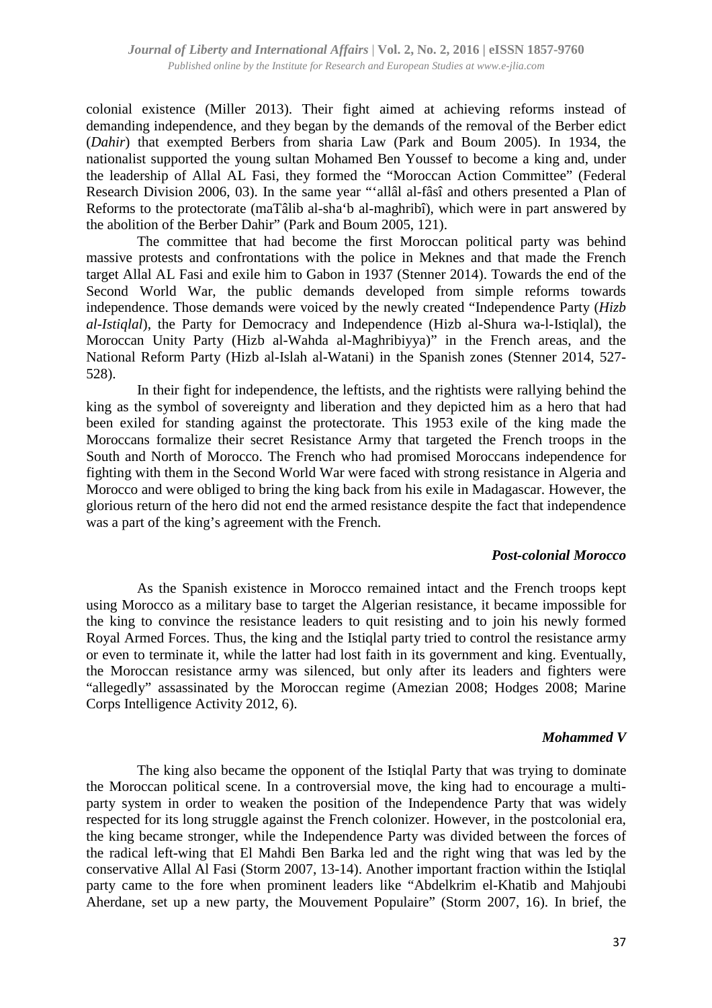colonial existence (Miller 2013). Their fight aimed at achieving reforms instead of demanding independence, and they began by the demands of the removal of the Berber edict (*Dahir*) that exempted Berbers from sharia Law (Park and Boum 2005). In 1934, the nationalist supported the young sultan Mohamed Ben Youssef to become a king and, under the leadership of Allal AL Fasi, they formed the "Moroccan Action Committee" (Federal Research Division 2006, 03). In the same year "'allâl al-fâsî and others presented a Plan of Reforms to the protectorate (maTâlib al-sha'b al-maghribî), which were in part answered by the abolition of the Berber Dahir" (Park and Boum 2005, 121).

The committee that had become the first Moroccan political party was behind massive protests and confrontations with the police in Meknes and that made the French target Allal AL Fasi and exile him to Gabon in 1937 (Stenner 2014). Towards the end of the Second World War, the public demands developed from simple reforms towards independence. Those demands were voiced by the newly created "Independence Party (*Hizb al-Istiqlal*), the Party for Democracy and Independence (Hizb al-Shura wa-l-Istiqlal), the Moroccan Unity Party (Hizb al-Wahda al-Maghribiyya)" in the French areas, and the National Reform Party (Hizb al-Islah al-Watani) in the Spanish zones (Stenner 2014, 527- 528).

In their fight for independence, the leftists, and the rightists were rallying behind the king as the symbol of sovereignty and liberation and they depicted him as a hero that had been exiled for standing against the protectorate. This 1953 exile of the king made the Moroccans formalize their secret Resistance Army that targeted the French troops in the South and North of Morocco. The French who had promised Moroccans independence for fighting with them in the Second World War were faced with strong resistance in Algeria and Morocco and were obliged to bring the king back from his exile in Madagascar. However, the glorious return of the hero did not end the armed resistance despite the fact that independence was a part of the king's agreement with the French.

#### *Post-colonial Morocco*

As the Spanish existence in Morocco remained intact and the French troops kept using Morocco as a military base to target the Algerian resistance, it became impossible for the king to convince the resistance leaders to quit resisting and to join his newly formed Royal Armed Forces. Thus, the king and the Istiqlal party tried to control the resistance army or even to terminate it, while the latter had lost faith in its government and king. Eventually, the Moroccan resistance army was silenced, but only after its leaders and fighters were "allegedly" assassinated by the Moroccan regime (Amezian 2008; Hodges 2008; Marine Corps Intelligence Activity 2012, 6).

#### *Mohammed V*

The king also became the opponent of the Istiqlal Party that was trying to dominate the Moroccan political scene. In a controversial move, the king had to encourage a multiparty system in order to weaken the position of the Independence Party that was widely respected for its long struggle against the French colonizer. However, in the postcolonial era, the king became stronger, while the Independence Party was divided between the forces of the radical left-wing that El Mahdi Ben Barka led and the right wing that was led by the conservative Allal Al Fasi (Storm 2007, 13-14). Another important fraction within the Istiqlal party came to the fore when prominent leaders like "Abdelkrim el-Khatib and Mahjoubi Aherdane, set up a new party, the Mouvement Populaire" (Storm 2007, 16). In brief, the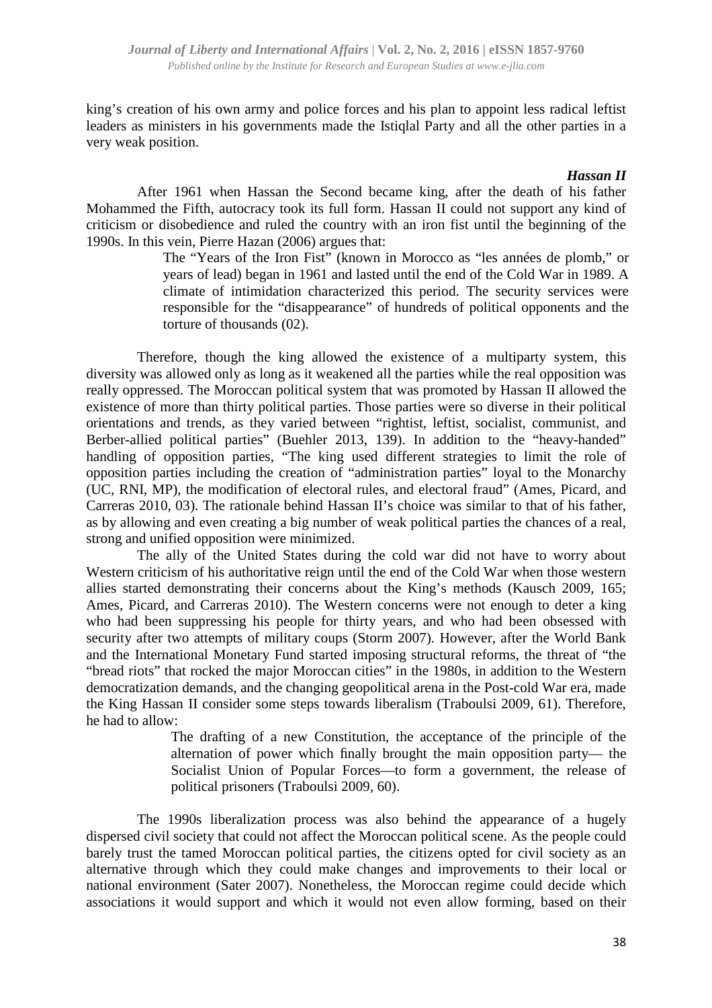king's creation of his own army and police forces and his plan to appoint less radical leftist leaders as ministers in his governments made the Istiqlal Party and all the other parties in a very weak position.

#### *Hassan II*

After 1961 when Hassan the Second became king, after the death of his father Mohammed the Fifth, autocracy took its full form. Hassan II could not support any kind of criticism or disobedience and ruled the country with an iron fist until the beginning of the 1990s. In this vein, Pierre Hazan (2006) argues that:

> The "Years of the Iron Fist" (known in Morocco as "les années de plomb," or years of lead) began in 1961 and lasted until the end of the Cold War in 1989. A climate of intimidation characterized this period. The security services were responsible for the "disappearance" of hundreds of political opponents and the torture of thousands (02).

Therefore, though the king allowed the existence of a multiparty system, this diversity was allowed only as long as it weakened all the parties while the real opposition was really oppressed. The Moroccan political system that was promoted by Hassan II allowed the existence of more than thirty political parties. Those parties were so diverse in their political orientations and trends, as they varied between "rightist, leftist, socialist, communist, and Berber-allied political parties" (Buehler 2013, 139). In addition to the "heavy-handed" handling of opposition parties, "The king used different strategies to limit the role of opposition parties including the creation of "administration parties" loyal to the Monarchy (UC, RNI, MP), the modification of electoral rules, and electoral fraud" (Ames, Picard, and Carreras 2010, 03). The rationale behind Hassan II's choice was similar to that of his father, as by allowing and even creating a big number of weak political parties the chances of a real, strong and unified opposition were minimized.

The ally of the United States during the cold war did not have to worry about Western criticism of his authoritative reign until the end of the Cold War when those western allies started demonstrating their concerns about the King's methods (Kausch 2009, 165; Ames, Picard, and Carreras 2010). The Western concerns were not enough to deter a king who had been suppressing his people for thirty years, and who had been obsessed with security after two attempts of military coups (Storm 2007). However, after the World Bank and the International Monetary Fund started imposing structural reforms, the threat of "the "bread riots" that rocked the major Moroccan cities" in the 1980s, in addition to the Western democratization demands, and the changing geopolitical arena in the Post-cold War era, made the King Hassan II consider some steps towards liberalism (Traboulsi 2009, 61). Therefore, he had to allow:

> The drafting of a new Constitution, the acceptance of the principle of the alternation of power which finally brought the main opposition party— the Socialist Union of Popular Forces—to form a government, the release of political prisoners (Traboulsi 2009, 60).

The 1990s liberalization process was also behind the appearance of a hugely dispersed civil society that could not affect the Moroccan political scene. As the people could barely trust the tamed Moroccan political parties, the citizens opted for civil society as an alternative through which they could make changes and improvements to their local or national environment (Sater 2007). Nonetheless, the Moroccan regime could decide which associations it would support and which it would not even allow forming, based on their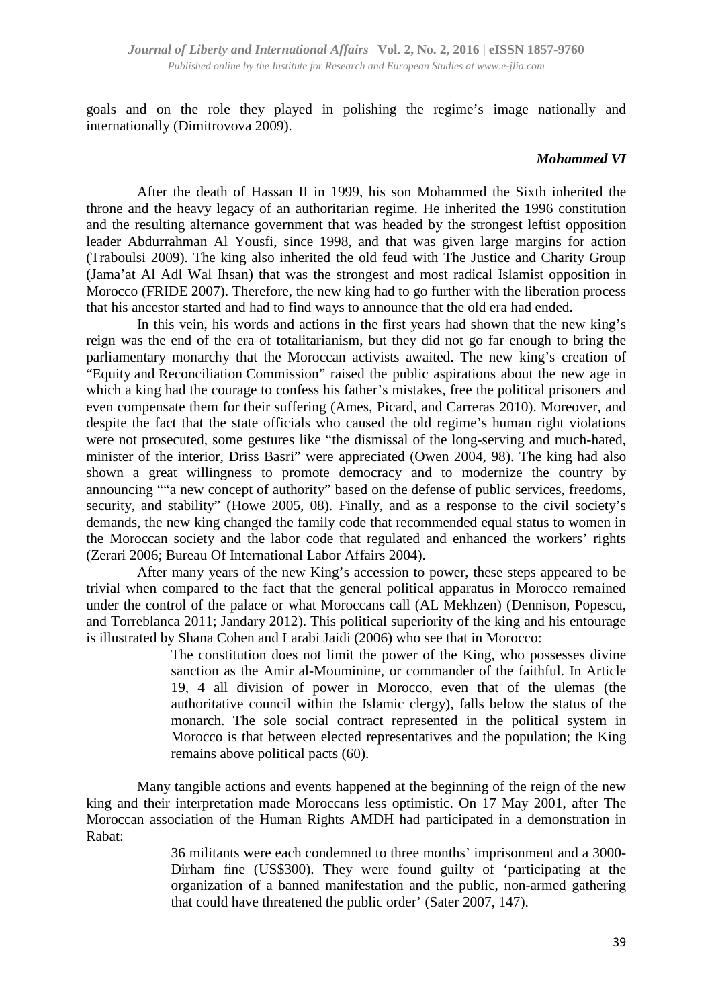*Journal of Liberty and International Affairs* | **Vol. 2, No. 2, 2016 | eISSN 1857-9760**  *Published online by the Institute for Research and European Studies at www.e-jlia.com*

goals and on the role they played in polishing the regime's image nationally and internationally (Dimitrovova 2009).

#### *Mohammed VI*

After the death of Hassan II in 1999, his son Mohammed the Sixth inherited the throne and the heavy legacy of an authoritarian regime. He inherited the 1996 constitution and the resulting alternance government that was headed by the strongest leftist opposition leader Abdurrahman Al Yousfi, since 1998, and that was given large margins for action (Traboulsi 2009). The king also inherited the old feud with The Justice and Charity Group (Jama'at Al Adl Wal Ihsan) that was the strongest and most radical Islamist opposition in Morocco (FRIDE 2007). Therefore, the new king had to go further with the liberation process that his ancestor started and had to find ways to announce that the old era had ended.

In this vein, his words and actions in the first years had shown that the new king's reign was the end of the era of totalitarianism, but they did not go far enough to bring the parliamentary monarchy that the Moroccan activists awaited. The new king's creation of "Equity and Reconciliation Commission" raised the public aspirations about the new age in which a king had the courage to confess his father's mistakes, free the political prisoners and even compensate them for their suffering (Ames, Picard, and Carreras 2010). Moreover, and despite the fact that the state officials who caused the old regime's human right violations were not prosecuted, some gestures like "the dismissal of the long-serving and much-hated, minister of the interior, Driss Basri" were appreciated (Owen 2004, 98). The king had also shown a great willingness to promote democracy and to modernize the country by announcing ""a new concept of authority" based on the defense of public services, freedoms, security, and stability" (Howe 2005, 08). Finally, and as a response to the civil society's demands, the new king changed the family code that recommended equal status to women in the Moroccan society and the labor code that regulated and enhanced the workers' rights (Zerari 2006; Bureau Of International Labor Affairs 2004).

After many years of the new King's accession to power, these steps appeared to be trivial when compared to the fact that the general political apparatus in Morocco remained under the control of the palace or what Moroccans call (AL Mekhzen) (Dennison, Popescu, and Torreblanca 2011; Jandary 2012). This political superiority of the king and his entourage is illustrated by Shana Cohen and Larabi Jaidi (2006) who see that in Morocco:

> The constitution does not limit the power of the King, who possesses divine sanction as the Amir al-Mouminine, or commander of the faithful. In Article 19, 4 all division of power in Morocco, even that of the ulemas (the authoritative council within the Islamic clergy), falls below the status of the monarch. The sole social contract represented in the political system in Morocco is that between elected representatives and the population; the King remains above political pacts (60).

Many tangible actions and events happened at the beginning of the reign of the new king and their interpretation made Moroccans less optimistic. On 17 May 2001, after The Moroccan association of the Human Rights AMDH had participated in a demonstration in Rabat:

> 36 militants were each condemned to three months' imprisonment and a 3000- Dirham fine (US\$300). They were found guilty of 'participating at the organization of a banned manifestation and the public, non-armed gathering that could have threatened the public order' (Sater 2007, 147).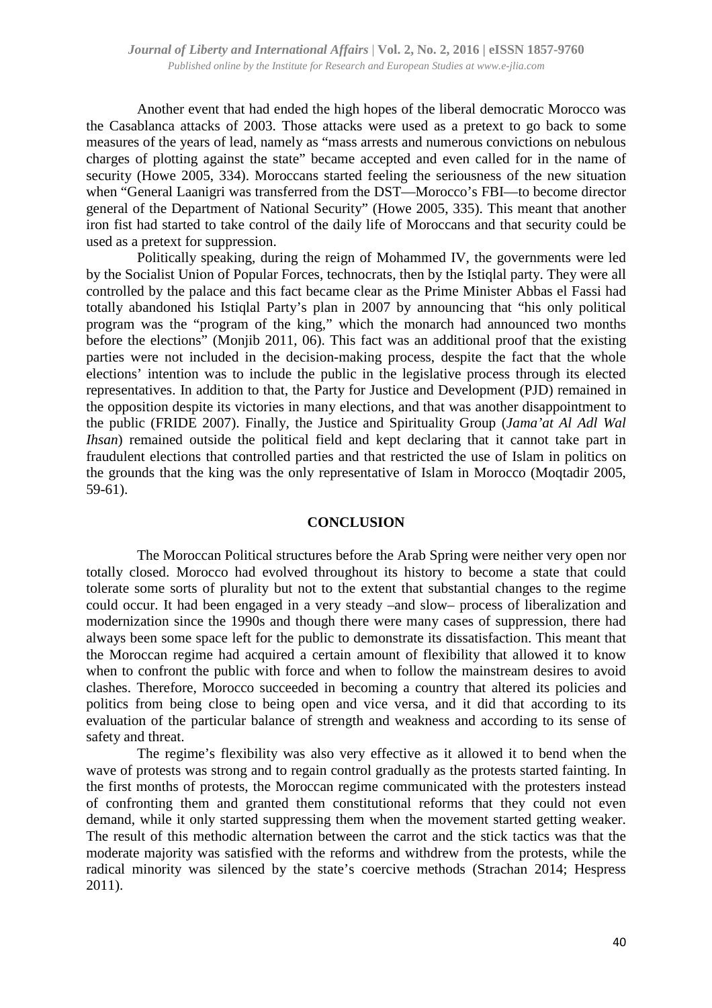Another event that had ended the high hopes of the liberal democratic Morocco was the Casablanca attacks of 2003. Those attacks were used as a pretext to go back to some measures of the years of lead, namely as "mass arrests and numerous convictions on nebulous charges of plotting against the state" became accepted and even called for in the name of security (Howe 2005, 334). Moroccans started feeling the seriousness of the new situation when "General Laanigri was transferred from the DST—Morocco's FBI—to become director general of the Department of National Security" (Howe 2005, 335). This meant that another iron fist had started to take control of the daily life of Moroccans and that security could be used as a pretext for suppression.

Politically speaking, during the reign of Mohammed IV, the governments were led by the Socialist Union of Popular Forces, technocrats, then by the Istiqlal party. They were all controlled by the palace and this fact became clear as the Prime Minister Abbas el Fassi had totally abandoned his Istiqlal Party's plan in 2007 by announcing that "his only political program was the "program of the king," which the monarch had announced two months before the elections" (Monjib 2011, 06). This fact was an additional proof that the existing parties were not included in the decision-making process, despite the fact that the whole elections' intention was to include the public in the legislative process through its elected representatives. In addition to that, the Party for Justice and Development (PJD) remained in the opposition despite its victories in many elections, and that was another disappointment to the public (FRIDE 2007). Finally, the Justice and Spirituality Group (*Jama'at Al Adl Wal Ihsan*) remained outside the political field and kept declaring that it cannot take part in fraudulent elections that controlled parties and that restricted the use of Islam in politics on the grounds that the king was the only representative of Islam in Morocco (Moqtadir 2005, 59-61).

#### **CONCLUSION**

The Moroccan Political structures before the Arab Spring were neither very open nor totally closed. Morocco had evolved throughout its history to become a state that could tolerate some sorts of plurality but not to the extent that substantial changes to the regime could occur. It had been engaged in a very steady –and slow– process of liberalization and modernization since the 1990s and though there were many cases of suppression, there had always been some space left for the public to demonstrate its dissatisfaction. This meant that the Moroccan regime had acquired a certain amount of flexibility that allowed it to know when to confront the public with force and when to follow the mainstream desires to avoid clashes. Therefore, Morocco succeeded in becoming a country that altered its policies and politics from being close to being open and vice versa, and it did that according to its evaluation of the particular balance of strength and weakness and according to its sense of safety and threat.

The regime's flexibility was also very effective as it allowed it to bend when the wave of protests was strong and to regain control gradually as the protests started fainting. In the first months of protests, the Moroccan regime communicated with the protesters instead of confronting them and granted them constitutional reforms that they could not even demand, while it only started suppressing them when the movement started getting weaker. The result of this methodic alternation between the carrot and the stick tactics was that the moderate majority was satisfied with the reforms and withdrew from the protests, while the radical minority was silenced by the state's coercive methods (Strachan 2014; Hespress 2011).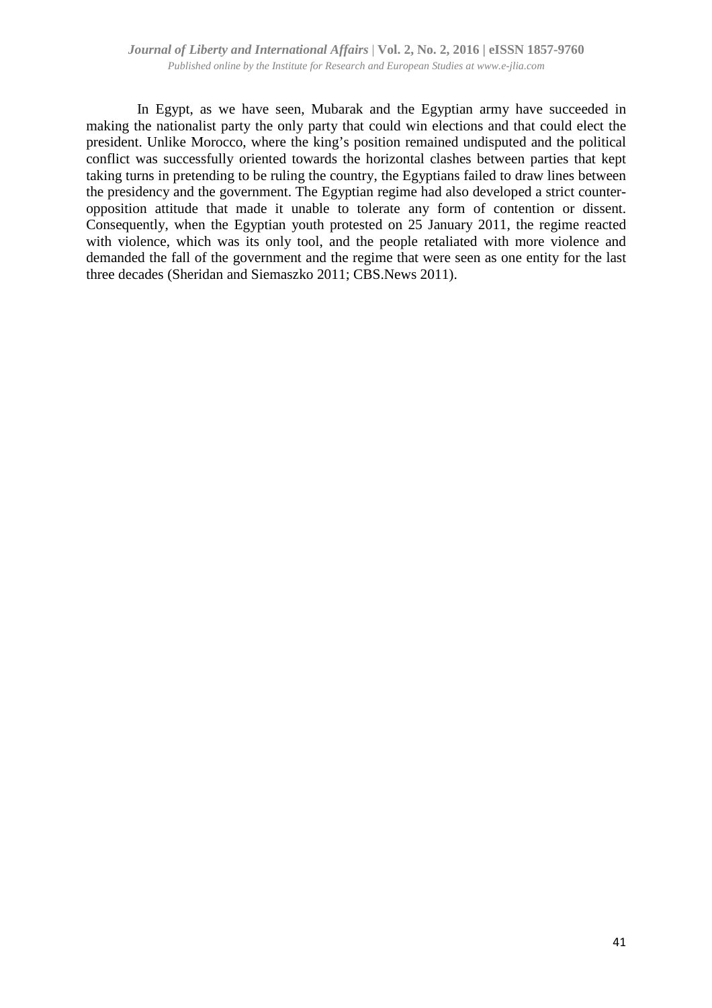In Egypt, as we have seen, Mubarak and the Egyptian army have succeeded in making the nationalist party the only party that could win elections and that could elect the president. Unlike Morocco, where the king's position remained undisputed and the political conflict was successfully oriented towards the horizontal clashes between parties that kept taking turns in pretending to be ruling the country, the Egyptians failed to draw lines between the presidency and the government. The Egyptian regime had also developed a strict counteropposition attitude that made it unable to tolerate any form of contention or dissent. Consequently, when the Egyptian youth protested on 25 January 2011, the regime reacted with violence, which was its only tool, and the people retaliated with more violence and demanded the fall of the government and the regime that were seen as one entity for the last three decades (Sheridan and Siemaszko 2011; CBS.News 2011).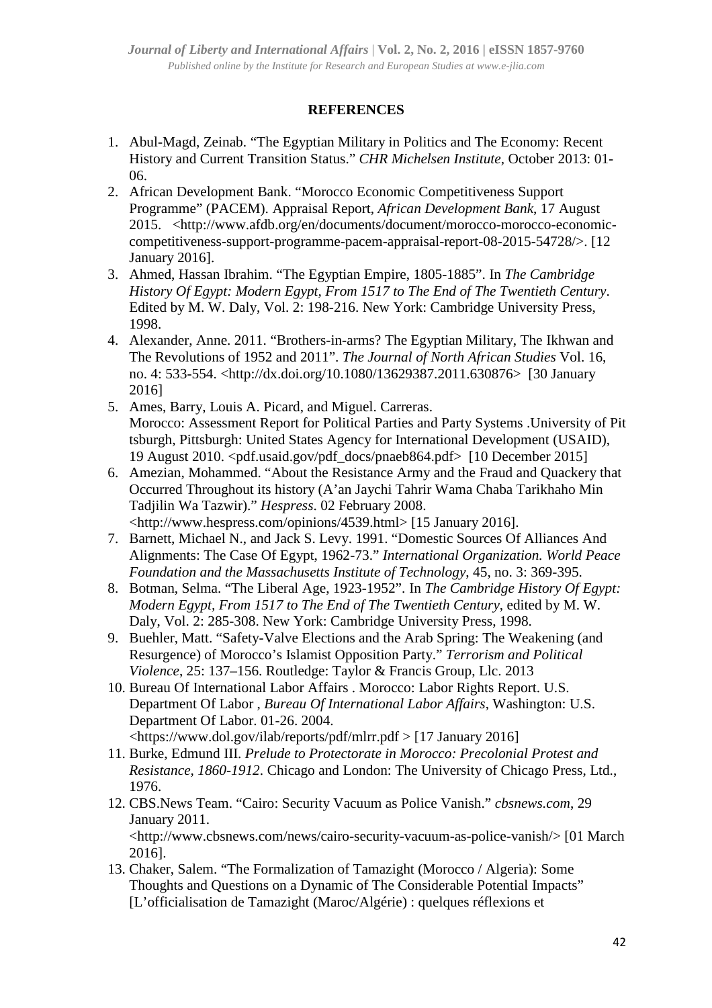# **REFERENCES**

- 1. Abul-Magd, Zeinab. "The Egyptian Military in Politics and The Economy: Recent History and Current Transition Status." *CHR Michelsen Institute*, October 2013: 01- 06.
- 2. African Development Bank. "Morocco Economic Competitiveness Support Programme" (PACEM). Appraisal Report, *African Development Bank*, 17 August 2015. <http://www.afdb.org/en/documents/document/morocco-morocco-economiccompetitiveness-support-programme-pacem-appraisal-report-08-2015-54728/>. [12 January 2016].
- 3. Ahmed, Hassan Ibrahim. "The Egyptian Empire, 1805-1885". In *The Cambridge History Of Egypt: Modern Egypt, From 1517 to The End of The Twentieth Century*. Edited by M. W. Daly, Vol. 2: 198-216. New York: Cambridge University Press, 1998.
- 4. Alexander, Anne. 2011. "Brothers-in-arms? The Egyptian Military, The Ikhwan and The Revolutions of 1952 and 2011". *The Journal of North African Studies* Vol. 16, no. 4: 533-554. <http://dx.doi.org/10.1080/13629387.2011.630876> [30 January 2016]
- 5. Ames, Barry, Louis A. Picard, and Miguel. Carreras. Morocco: Assessment Report for Political Parties and Party Systems .University of Pit tsburgh, Pittsburgh: United States Agency for International Development (USAID), 19 August 2010. <pdf.usaid.gov/pdf\_docs/pnaeb864.pdf> [10 December 2015]
- 6. Amezian, Mohammed. "About the Resistance Army and the Fraud and Quackery that Occurred Throughout its history (A'an Jaychi Tahrir Wama Chaba Tarikhaho Min Tadjilin Wa Tazwir)." *Hespress*. 02 February 2008. <http://www.hespress.com/opinions/4539.html> [15 January 2016].
- 7. Barnett, Michael N., and Jack S. Levy. 1991. "Domestic Sources Of Alliances And Alignments: The Case Of Egypt, 1962-73." *International Organization. World Peace Foundation and the Massachusetts Institute of Technology*, 45, no. 3: 369-395.
- 8. Botman, Selma. "The Liberal Age, 1923-1952". In *The Cambridge History Of Egypt: Modern Egypt, From 1517 to The End of The Twentieth Century*, edited by M. W. Daly, Vol. 2: 285-308. New York: Cambridge University Press, 1998.
- 9. Buehler, Matt. "Safety-Valve Elections and the Arab Spring: The Weakening (and Resurgence) of Morocco's Islamist Opposition Party." *Terrorism and Political Violence*, 25: 137–156. Routledge: Taylor & Francis Group, Llc. 2013
- 10. Bureau Of International Labor Affairs . Morocco: Labor Rights Report. U.S. Department Of Labor , *Bureau Of International Labor Affairs*, Washington: U.S. Department Of Labor. 01-26. 2004. <https://www.dol.gov/ilab/reports/pdf/mlrr.pdf > [17 January 2016]
- 11. Burke, Edmund III. *Prelude to Protectorate in Morocco: Precolonial Protest and Resistance, 1860-1912*. Chicago and London: The University of Chicago Press, Ltd., 1976.
- 12. CBS.News Team. "Cairo: Security Vacuum as Police Vanish." *cbsnews.com*, 29 January 2011.

<http://www.cbsnews.com/news/cairo-security-vacuum-as-police-vanish/> [01 March 2016].

13. Chaker, Salem. "The Formalization of Tamazight (Morocco / Algeria): Some Thoughts and Questions on a Dynamic of The Considerable Potential Impacts" [L'officialisation de Tamazight (Maroc/Algérie) : quelques réflexions et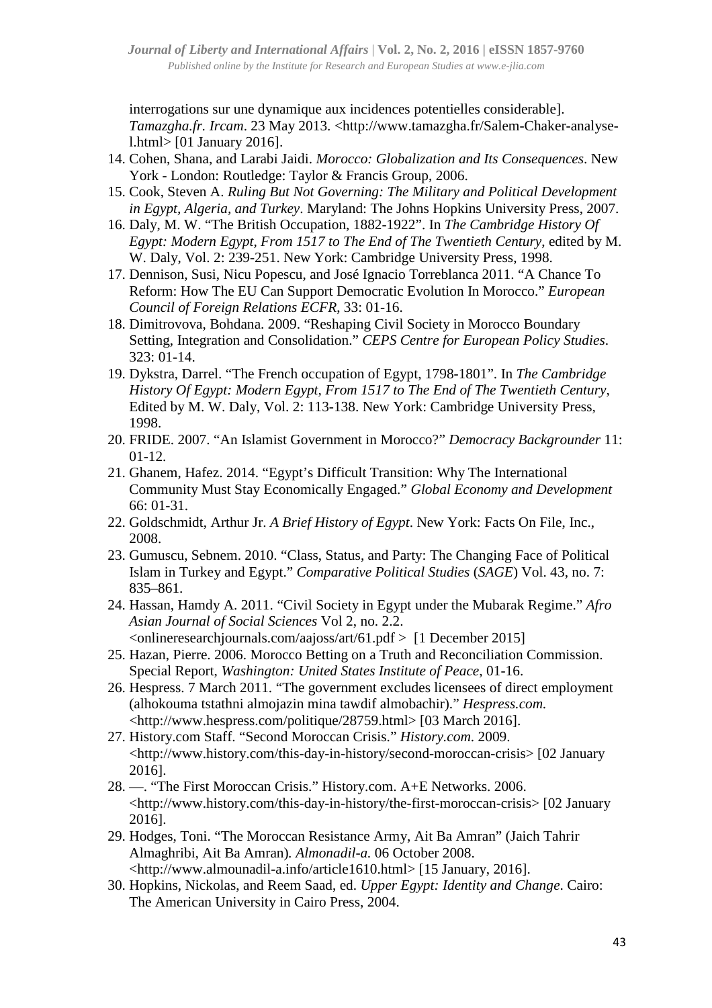interrogations sur une dynamique aux incidences potentielles considerable]. *Tamazgha.fr. Ircam*. 23 May 2013. <http://www.tamazgha.fr/Salem-Chaker-analysel.html> [01 January 2016].

- 14. Cohen, Shana, and Larabi Jaidi. *Morocco: Globalization and Its Consequences*. New York - London: Routledge: Taylor & Francis Group, 2006.
- 15. Cook, Steven A. *Ruling But Not Governing: The Military and Political Development in Egypt, Algeria, and Turkey*. Maryland: The Johns Hopkins University Press, 2007.
- 16. Daly, M. W. "The British Occupation, 1882-1922". In *The Cambridge History Of Egypt: Modern Egypt, From 1517 to The End of The Twentieth Century*, edited by M. W. Daly, Vol. 2: 239-251. New York: Cambridge University Press, 1998.
- 17. Dennison, Susi, Nicu Popescu, and José Ignacio Torreblanca 2011. "A Chance To Reform: How The EU Can Support Democratic Evolution In Morocco." *European Council of Foreign Relations ECFR*, 33: 01-16.
- 18. Dimitrovova, Bohdana. 2009. "Reshaping Civil Society in Morocco Boundary Setting, Integration and Consolidation." *CEPS Centre for European Policy Studies*. 323: 01-14.
- 19. Dykstra, Darrel. "The French occupation of Egypt, 1798-1801". In *The Cambridge History Of Egypt: Modern Egypt, From 1517 to The End of The Twentieth Century*, Edited by M. W. Daly, Vol. 2: 113-138. New York: Cambridge University Press, 1998.
- 20. FRIDE. 2007. "An Islamist Government in Morocco?" *Democracy Backgrounder* 11: 01-12.
- 21. Ghanem, Hafez. 2014. "Egypt's Difficult Transition: Why The International Community Must Stay Economically Engaged." *Global Economy and Development* 66: 01-31.
- 22. Goldschmidt, Arthur Jr. *A Brief History of Egypt*. New York: Facts On File, Inc., 2008.
- 23. Gumuscu, Sebnem. 2010. "Class, Status, and Party: The Changing Face of Political Islam in Turkey and Egypt." *Comparative Political Studies* (*SAGE*) Vol. 43, no. 7: 835–861.
- 24. Hassan, Hamdy A. 2011. "Civil Society in Egypt under the Mubarak Regime." *Afro Asian Journal of Social Sciences* Vol 2, no. 2.2.  $\leq$ onlineresearchjournals.com/aajoss/art/61.pdf  $>$  [1 December 2015]
- 25. Hazan, Pierre. 2006. Morocco Betting on a Truth and Reconciliation Commission. Special Report, *Washington: United States Institute of Peace*, 01-16.
- 26. Hespress. 7 March 2011. "The government excludes licensees of direct employment (alhokouma tstathni almojazin mina tawdif almobachir)." *Hespress.com.* <http://www.hespress.com/politique/28759.html> [03 March 2016].
- 27. History.com Staff. "Second Moroccan Crisis." *History.com*. 2009. <http://www.history.com/this-day-in-history/second-moroccan-crisis> [02 January 2016].
- 28. —. "The First Moroccan Crisis." History.com. A+E Networks. 2006. <http://www.history.com/this-day-in-history/the-first-moroccan-crisis> [02 January 2016].
- 29. Hodges, Toni. "The Moroccan Resistance Army, Ait Ba Amran" (Jaich Tahrir Almaghribi, Ait Ba Amran)*. Almonadil-a.* 06 October 2008. <http://www.almounadil-a.info/article1610.html> [15 January, 2016].
- 30. Hopkins, Nickolas, and Reem Saad, ed. *Upper Egypt: Identity and Change*. Cairo: The American University in Cairo Press, 2004.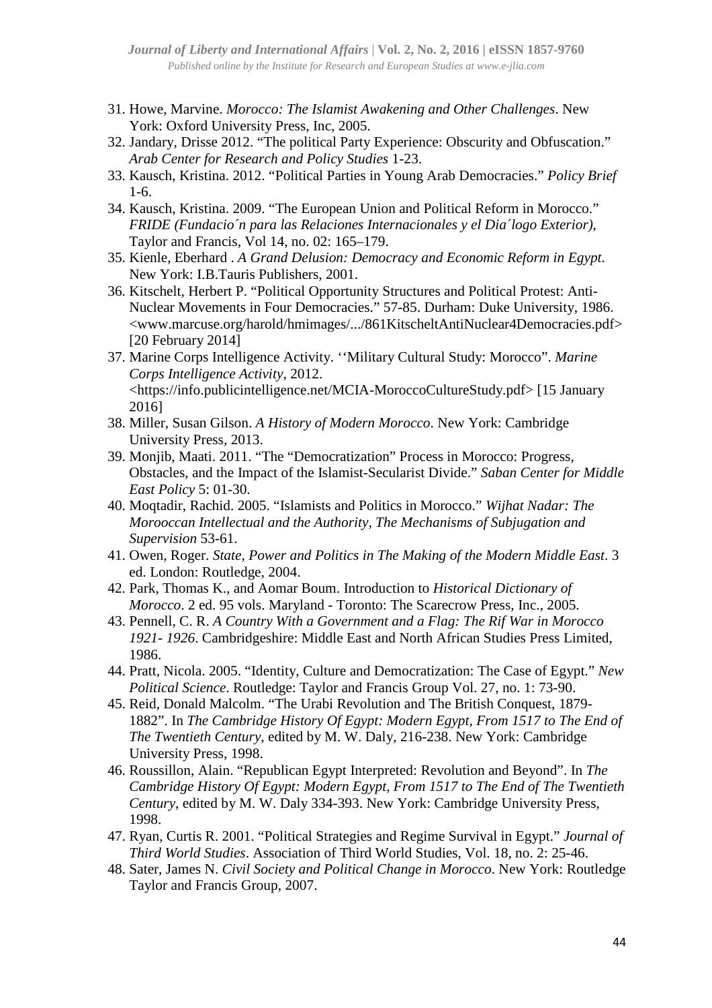- 31. Howe, Marvine. *Morocco: The Islamist Awakening and Other Challenges*. New York: Oxford University Press, Inc, 2005.
- 32. Jandary, Drisse 2012. "The political Party Experience: Obscurity and Obfuscation." *Arab Center for Research and Policy Studies* 1-23.
- 33. Kausch, Kristina. 2012. "Political Parties in Young Arab Democracies." *Policy Brief* 1-6.
- 34. Kausch, Kristina. 2009. "The European Union and Political Reform in Morocco." *FRIDE (Fundacio´n para las Relaciones Internacionales y el Dia´logo Exterior)*, Taylor and Francis, Vol 14, no. 02: 165–179.
- 35. Kienle, Eberhard . *A Grand Delusion: Democracy and Economic Reform in Egypt*. New York: I.B.Tauris Publishers, 2001.
- 36. Kitschelt, Herbert P. "Political Opportunity Structures and Political Protest: Anti-Nuclear Movements in Four Democracies." 57-85. Durham: Duke University, 1986. <www.marcuse.org/harold/hmimages/.../861KitscheltAntiNuclear4Democracies.pdf> [20 February 2014]
- 37. Marine Corps Intelligence Activity. ''Military Cultural Study: Morocco". *Marine Corps Intelligence Activity*, 2012. <https://info.publicintelligence.net/MCIA-MoroccoCultureStudy.pdf> [15 January 2016]
- 38. Miller, Susan Gilson. *A History of Modern Morocco*. New York: Cambridge University Press, 2013.
- 39. Monjib, Maati. 2011. "The "Democratization" Process in Morocco: Progress, Obstacles, and the Impact of the Islamist-Secularist Divide." *Saban Center for Middle East Policy* 5: 01-30.
- 40. Moqtadir, Rachid. 2005. "Islamists and Politics in Morocco." *Wijhat Nadar: The Morooccan Intellectual and the Authority, The Mechanisms of Subjugation and Supervision* 53-61.
- 41. Owen, Roger. *State, Power and Politics in The Making of the Modern Middle East*. 3 ed. London: Routledge, 2004.
- 42. Park, Thomas K., and Aomar Boum. Introduction to *Historical Dictionary of Morocco*. 2 ed. 95 vols. Maryland - Toronto: The Scarecrow Press, Inc., 2005.
- 43. Pennell, C. R. *A Country With a Government and a Flag: The Rif War in Morocco 1921- 1926*. Cambridgeshire: Middle East and North African Studies Press Limited, 1986.
- 44. Pratt, Nicola. 2005. "Identity, Culture and Democratization: The Case of Egypt." *New Political Science*. Routledge: Taylor and Francis Group Vol. 27, no. 1: 73-90.
- 45. Reid, Donald Malcolm. "The Urabi Revolution and The British Conquest, 1879- 1882". In *The Cambridge History Of Egypt: Modern Egypt, From 1517 to The End of The Twentieth Century*, edited by M. W. Daly, 216-238. New York: Cambridge University Press, 1998.
- 46. Roussillon, Alain. "Republican Egypt Interpreted: Revolution and Beyond". In *The Cambridge History Of Egypt: Modern Egypt, From 1517 to The End of The Twentieth Century*, edited by M. W. Daly 334-393. New York: Cambridge University Press, 1998.
- 47. Ryan, Curtis R. 2001. "Political Strategies and Regime Survival in Egypt." *Journal of Third World Studies*. Association of Third World Studies, Vol. 18, no. 2: 25-46.
- 48. Sater, James N. *Civil Society and Political Change in Morocco*. New York: Routledge Taylor and Francis Group, 2007.